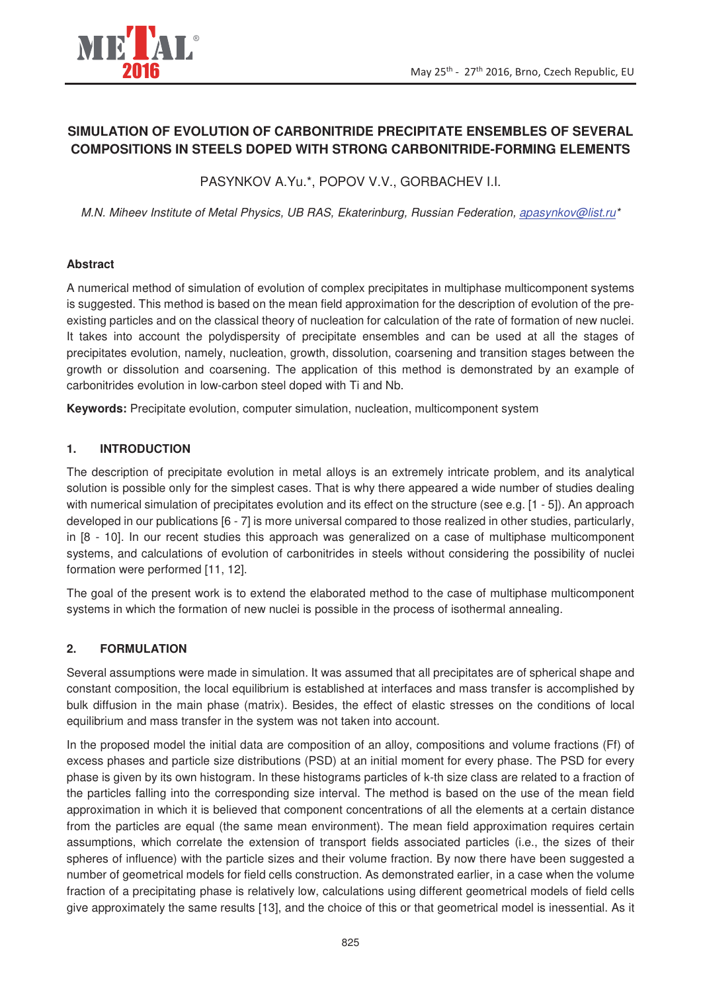

# **SIMULATION OF EVOLUTION OF CARBONITRIDE PRECIPITATE ENSEMBLES OF SEVERAL COMPOSITIONS IN STEELS DOPED WITH STRONG CARBONITRIDE-FORMING ELEMENTS**

# PASYNKOV A.Yu.\*, POPOV V.V., GORBACHEV I.I.

M.N. Miheev Institute of Metal Physics, UB RAS, Ekaterinburg, Russian Federation, apasynkov@list.ru\*

### **Abstract**

A numerical method of simulation of evolution of complex precipitates in multiphase multicomponent systems is suggested. This method is based on the mean field approximation for the description of evolution of the preexisting particles and on the classical theory of nucleation for calculation of the rate of formation of new nuclei. It takes into account the polydispersity of precipitate ensembles and can be used at all the stages of precipitates evolution, namely, nucleation, growth, dissolution, coarsening and transition stages between the growth or dissolution and coarsening. The application of this method is demonstrated by an example of carbonitrides evolution in low-carbon steel doped with Ti and Nb.

**Keywords:** Precipitate evolution, computer simulation, nucleation, multicomponent system

### **1. INTRODUCTION**

The description of precipitate evolution in metal alloys is an extremely intricate problem, and its analytical solution is possible only for the simplest cases. That is why there appeared a wide number of studies dealing with numerical simulation of precipitates evolution and its effect on the structure (see e.g. [1 - 5]). An approach developed in our publications [6 - 7] is more universal compared to those realized in other studies, particularly, in [8 - 10]. In our recent studies this approach was generalized on a case of multiphase multicomponent systems, and calculations of evolution of carbonitrides in steels without considering the possibility of nuclei formation were performed [11, 12].

The goal of the present work is to extend the elaborated method to the case of multiphase multicomponent systems in which the formation of new nuclei is possible in the process of isothermal annealing.

## **2. FORMULATION**

Several assumptions were made in simulation. It was assumed that all precipitates are of spherical shape and constant composition, the local equilibrium is established at interfaces and mass transfer is accomplished by bulk diffusion in the main phase (matrix). Besides, the effect of elastic stresses on the conditions of local equilibrium and mass transfer in the system was not taken into account.

In the proposed model the initial data are composition of an alloy, compositions and volume fractions (Ff) of excess phases and particle size distributions (PSD) at an initial moment for every phase. The PSD for every phase is given by its own histogram. In these histograms particles of k-th size class are related to a fraction of the particles falling into the corresponding size interval. The method is based on the use of the mean field approximation in which it is believed that component concentrations of all the elements at a certain distance from the particles are equal (the same mean environment). The mean field approximation requires certain assumptions, which correlate the extension of transport fields associated particles (i.e., the sizes of their spheres of influence) with the particle sizes and their volume fraction. By now there have been suggested a number of geometrical models for field cells construction. As demonstrated earlier, in a case when the volume fraction of a precipitating phase is relatively low, calculations using different geometrical models of field cells give approximately the same results [13], and the choice of this or that geometrical model is inessential. As it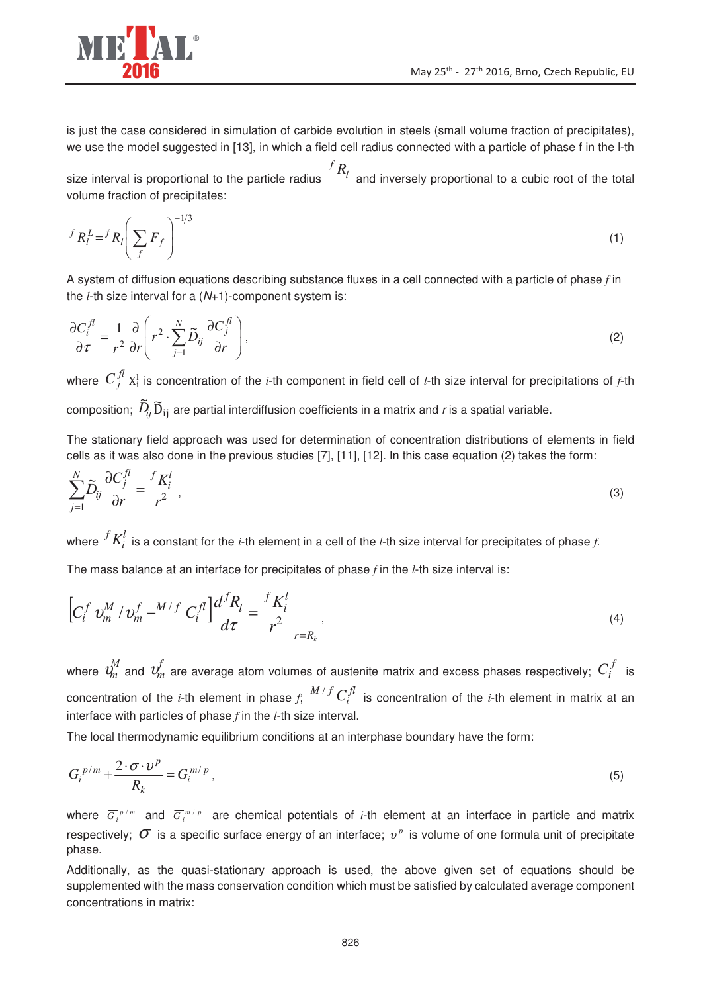

is just the case considered in simulation of carbide evolution in steels (small volume fraction of precipitates), we use the model suggested in [13], in which a field cell radius connected with a particle of phase f in the l-th

size interval is proportional to the particle radius  $\int^f R_l$  and inversely proportional to a cubic root of the total volume fraction of precipitates:

$$
f R_l^L = f R_l \left( \sum_f F_f \right)^{-1/3} \tag{1}
$$

A system of diffusion equations describing substance fluxes in a cell connected with a particle of phase *f* in the *l*-th size interval for a (N+1)-component system is:

$$
\frac{\partial C_i^{\,fl}}{\partial \,\tau} = \frac{1}{r^2} \frac{\partial}{\partial r} \left( r^2 \cdot \sum_{j=1}^N \widetilde{D}_{ij} \frac{\partial C_j^{\,fl}}{\partial r} \right),\tag{2}
$$

where  $C_j^{\{I\}}$   $X_i^l$  is concentration of the *i*-th component in field cell of *l*-th size interval for precipitations of *f*-th composition;  $\widetilde{D}_{\!j} \widetilde{{\rm D}}_{\rm ij}$  are partial interdiffusion coefficients in a matrix and *r* is a spatial variable.

The stationary field approach was used for determination of concentration distributions of elements in field cells as it was also done in the previous studies [7], [11], [12]. In this case equation (2) takes the form:

$$
\sum_{j=1}^{N} \widetilde{D}_{ij} \frac{\partial C_j^{fl}}{\partial r} = \frac{f K_i^l}{r^2},\tag{3}
$$

where  $\sqrt[f]{K_i^l}$  is a constant for the *i*-th element in a cell of the *l-*th size interval for precipitates of phase  $f$ .  $\iint K_i$ 

The mass balance at an interface for precipitates of phase *f* in the *l*-th size interval is:

$$
\left[C_i^f v_m^M / v_m^f - M/f \right] \frac{d^f R_l}{d\tau} = \frac{f K_i^l}{r^2} \bigg|_{r=R_k},\tag{4}
$$

where  $\textit{u}^{M}_{m}$  and  $\textit{u}^{f}_{m}$  are average atom volumes of austenite matrix and excess phases respectively;  $\textit{C}^{~f}_{i}$  is concentration of the *i*-th element in phase  $f$ ,  $\frac{M/f}{C_i^f}$  is concentration of the *i*-th element in matrix at an interface with particles of phase *f* in the *l*-th size interval.  $^{M/f}C_i$ 

The local thermodynamic equilibrium conditions at an interphase boundary have the form:

$$
\overline{G}_i^{p/m} + \frac{2 \cdot \sigma \cdot \nu^p}{R_k} = \overline{G}_i^{m/p},\tag{5}
$$

where  $\overline{G}_i^{p/m}$  and  $\overline{G}_i^{m/p}$  are chemical potentials of *i*-th element at an interface in particle and matrix respectively;  $\sigma$  is a specific surface energy of an interface;  $v^p$  is volume of one formula unit of precipitate phase.

Additionally, as the quasi-stationary approach is used, the above given set of equations should be supplemented with the mass conservation condition which must be satisfied by calculated average component concentrations in matrix: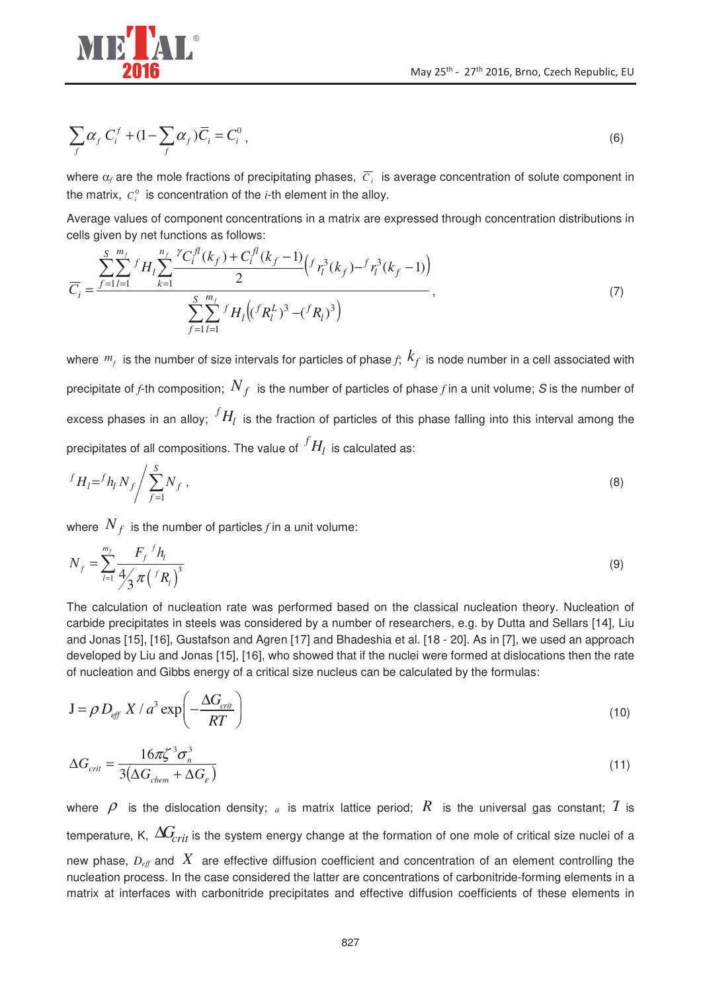

$$
\sum_{f} \alpha_f C_i^f + (1 - \sum_{f} \alpha_f) \overline{C}_i = C_i^0 , \qquad (6)
$$

where  $\alpha_f$  are the mole fractions of precipitating phases,  $|\overline{C}_i|$  is average concentration of solute component in the matrix,  $c_i^0$  is concentration of the *i*-th element in the alloy.

Average values of component concentrations in a matrix are expressed through concentration distributions in cells given by net functions as follows:

$$
\overline{C}_{i} = \frac{\sum_{f=1}^{S} \sum_{l=1}^{m_{f}} f_{H_{l}} \sum_{k=1}^{n_{f}} \frac{{}^{y}C_{i}^{fl}(k_{f}) + C_{i}^{fl}(k_{f}-1)}{2} \left( {}^{f}r_{l}^{3}(k_{f}) - {}^{f}r_{l}^{3}(k_{f}-1) \right)}{\sum_{f=1}^{S} \sum_{l=1}^{m_{f}} f_{H_{l}} \left( ({}^{f}R_{l}^{L})^{3} - ({}^{f}R_{l})^{3} \right)}, \tag{7}
$$

where  $\,m_f\,$  is the number of size intervals for particles of phase  $f\!;\,k_f\,$  is node number in a cell associated with precipitate of *f*-th composition;  $\overline{N}_f$  is the number of particles of phase  $f$  in a unit volume;  $S$  is the number of excess phases in an alloy;  ${}^fH_l$  is the fraction of particles of this phase falling into this interval among the precipitates of all compositions. The value of  $\ ^fH_l$  is calculated as:

$$
{}^{f}H_{l} = {}^{f}h_{l} N_{f} / \sum_{f=1}^{S} N_{f} , \qquad (8)
$$

where  $N_f$  is the number of particles  $f$  in a unit volume:

$$
N_f = \sum_{l=1}^{m_f} \frac{F_f \,^f h_l}{\frac{4}{3} \pi \left(\,^f R_l\right)^3} \tag{9}
$$

The calculation of nucleation rate was performed based on the classical nucleation theory. Nucleation of carbide precipitates in steels was considered by a number of researchers, e.g. by Dutta and Sellars [14], Liu and Jonas [15], [16], Gustafson and Agren [17] and Bhadeshia et al. [18 - 20]. As in [7], we used an approach developed by Liu and Jonas [15], [16], who showed that if the nuclei were formed at dislocations then the rate of nucleation and Gibbs energy of a critical size nucleus can be calculated by the formulas:

$$
J = \rho D_{\text{eff}} X / a^3 \exp\left(-\frac{\Delta G_{\text{crit}}}{RT}\right) \tag{10}
$$

$$
\Delta G_{crit} = \frac{16\pi\zeta^3 \sigma_n^3}{3(\Delta G_{chem} + \Delta G_{\varepsilon})}
$$
\n(11)

where  $\rho$  is the dislocation density;  ${}_{a}$  is matrix lattice period;  $R$  is the universal gas constant;  $I$  is temperature, K,  $\Delta\!G_{cri}$  is the system energy change at the formation of one mole of critical size nuclei of a new phase,  $D_{\textit{eff}}$  and  $X$  are effective diffusion coefficient and concentration of an element controlling the nucleation process. In the case considered the latter are concentrations of carbonitride-forming elements in a matrix at interfaces with carbonitride precipitates and effective diffusion coefficients of these elements in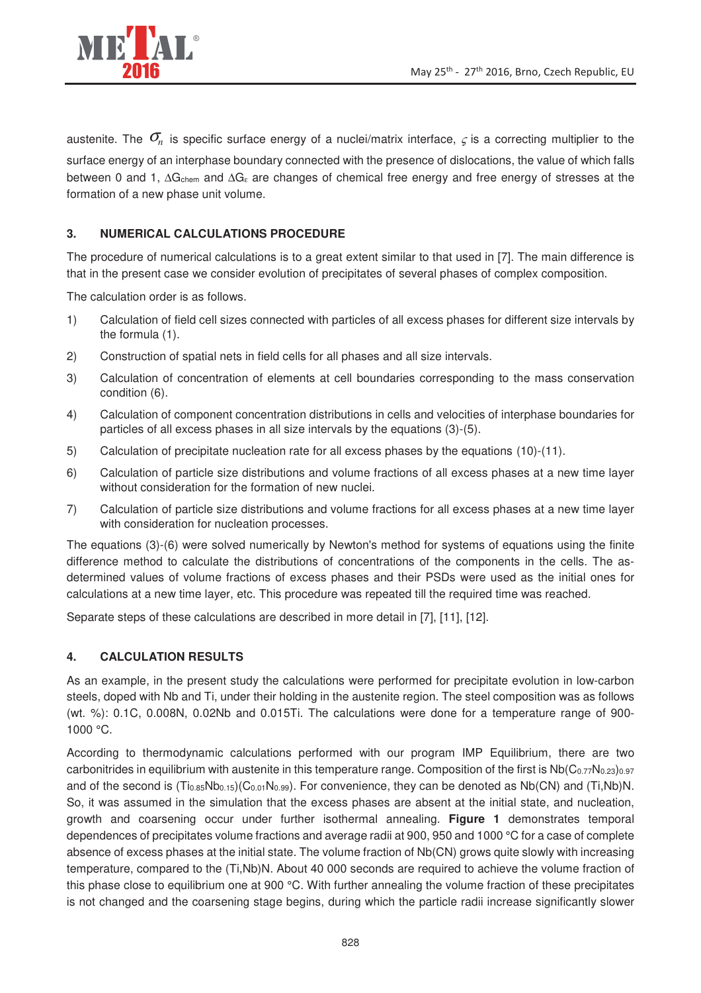

austenite. The  $\sigma_n$  is specific surface energy of a nuclei/matrix interface,  $\varsigma$  is a correcting multiplier to the surface energy of an interphase boundary connected with the presence of dislocations, the value of which falls between 0 and 1, ∆G<sub>chem</sub> and ∆G<sub>ε</sub> are changes of chemical free energy and free energy of stresses at the formation of a new phase unit volume.

## **3. NUMERICAL CALCULATIONS PROCEDURE**

The procedure of numerical calculations is to a great extent similar to that used in [7]. The main difference is that in the present case we consider evolution of precipitates of several phases of complex composition.

The calculation order is as follows.

- 1) Calculation of field cell sizes connected with particles of all excess phases for different size intervals by the formula (1).
- 2) Construction of spatial nets in field cells for all phases and all size intervals.
- 3) Calculation of concentration of elements at cell boundaries corresponding to the mass conservation condition (6).
- 4) Calculation of component concentration distributions in cells and velocities of interphase boundaries for particles of all excess phases in all size intervals by the equations (3)-(5).
- 5) Calculation of precipitate nucleation rate for all excess phases by the equations (10)-(11).
- 6) Calculation of particle size distributions and volume fractions of all excess phases at a new time layer without consideration for the formation of new nuclei.
- 7) Calculation of particle size distributions and volume fractions for all excess phases at a new time layer with consideration for nucleation processes.

The equations (3)-(6) were solved numerically by Newton's method for systems of equations using the finite difference method to calculate the distributions of concentrations of the components in the cells. The asdetermined values of volume fractions of excess phases and their PSDs were used as the initial ones for calculations at a new time layer, etc. This procedure was repeated till the required time was reached.

Separate steps of these calculations are described in more detail in [7], [11], [12].

#### **4. CALCULATION RESULTS**

As an example, in the present study the calculations were performed for precipitate evolution in low-carbon steels, doped with Nb and Ti, under their holding in the austenite region. The steel composition was as follows (wt. %): 0.1C, 0.008N, 0.02Nb and 0.015Ti. The calculations were done for a temperature range of 900- 1000 °C.

According to thermodynamic calculations performed with our program IMP Equilibrium, there are two carbonitrides in equilibrium with austenite in this temperature range. Composition of the first is  $Nb(C_{0.77}N_{0.23})_{0.97}$ and of the second is  $(Ti_{0.85}Nb_{0.15})(C_{0.01}N_{0.99})$ . For convenience, they can be denoted as Nb(CN) and (Ti,Nb)N. So, it was assumed in the simulation that the excess phases are absent at the initial state, and nucleation, growth and coarsening occur under further isothermal annealing. **Figure 1** demonstrates temporal dependences of precipitates volume fractions and average radii at 900, 950 and 1000 °C for a case of complete absence of excess phases at the initial state. The volume fraction of Nb(CN) grows quite slowly with increasing temperature, compared to the (Ti,Nb)N. About 40 000 seconds are required to achieve the volume fraction of this phase close to equilibrium one at 900 °C. With further annealing the volume fraction of these precipitates is not changed and the coarsening stage begins, during which the particle radii increase significantly slower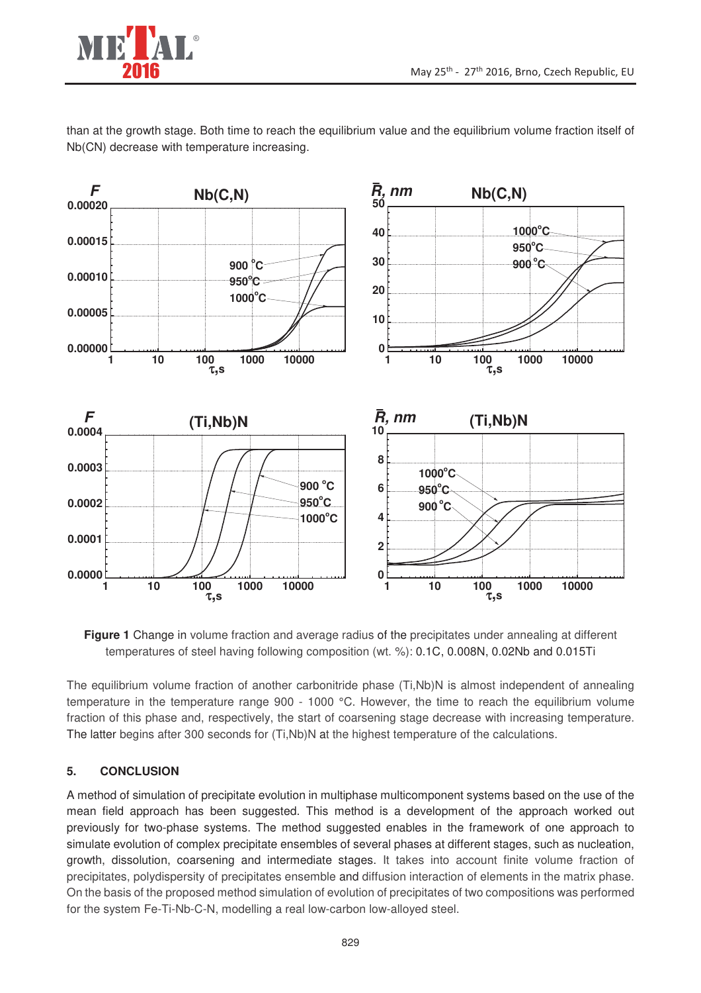

than at the growth stage. Both time to reach the equilibrium value and the equilibrium volume fraction itself of Nb(CN) decrease with temperature increasing.



**Figure 1** Change in volume fraction and average radius of the precipitates under annealing at different temperatures of steel having following composition (wt. %): 0.1C, 0.008N, 0.02Nb and 0.015Ti

The equilibrium volume fraction of another carbonitride phase (Ti,Nb)N is almost independent of annealing temperature in the temperature range 900 - 1000 °C. However, the time to reach the equilibrium volume fraction of this phase and, respectively, the start of coarsening stage decrease with increasing temperature. The latter begins after 300 seconds for (Ti,Nb)N at the highest temperature of the calculations.

#### **5. CONCLUSION**

A method of simulation of precipitate evolution in multiphase multicomponent systems based on the use of the mean field approach has been suggested. This method is a development of the approach worked out previously for two-phase systems. The method suggested enables in the framework of one approach to simulate evolution of complex precipitate ensembles of several phases at different stages, such as nucleation, growth, dissolution, coarsening and intermediate stages. It takes into account finite volume fraction of precipitates, polydispersity of precipitates ensemble and diffusion interaction of elements in the matrix phase. On the basis of the proposed method simulation of evolution of precipitates of two compositions was performed for the system Fe-Ti-Nb-C-N, modelling a real low-carbon low-alloyed steel.